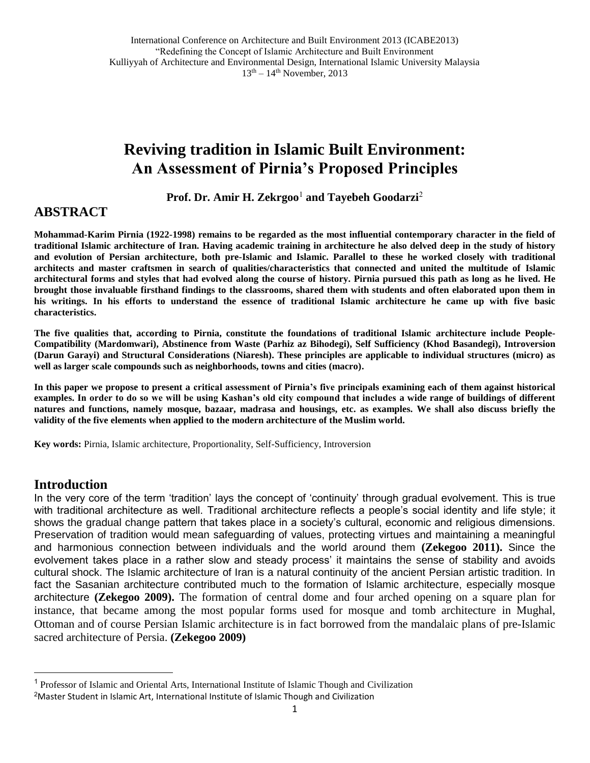# **Reviving tradition in Islamic Built Environment: An Assessment of Pirnia's Proposed Principles**

Prof. Dr. Amir H. Zekrgoo<sup>1</sup> and Tayebeh Goodarzi<sup>2</sup>

#### **ABSTRACT**

**Mohammad-Karim Pirnia (1922-1998) remains to be regarded as the most influential contemporary character in the field of traditional Islamic architecture of Iran. Having academic training in architecture he also delved deep in the study of history and evolution of Persian architecture, both pre-Islamic and Islamic. Parallel to these he worked closely with traditional architects and master craftsmen in search of qualities/characteristics that connected and united the multitude of Islamic architectural forms and styles that had evolved along the course of history. Pirnia pursued this path as long as he lived. He brought those invaluable firsthand findings to the classrooms, shared them with students and often elaborated upon them in his writings. In his efforts to understand the essence of traditional Islamic architecture he came up with five basic characteristics.** 

**The five qualities that, according to Pirnia, constitute the foundations of traditional Islamic architecture include People-Compatibility (Mardomwari), Abstinence from Waste (Parhiz az Bihodegi), Self Sufficiency (Khod Basandegi), Introversion (Darun Garayi) and Structural Considerations (Niaresh). These principles are applicable to individual structures (micro) as well as larger scale compounds such as neighborhoods, towns and cities (macro).**

**In this paper we propose to present a critical assessment of Pirnia's five principals examining each of them against historical examples. In order to do so we will be using Kashan's old city compound that includes a wide range of buildings of different natures and functions, namely mosque, bazaar, madrasa and housings, etc. as examples. We shall also discuss briefly the validity of the five elements when applied to the modern architecture of the Muslim world.**

**Key words:** Pirnia, Islamic architecture, Proportionality, Self-Sufficiency, Introversion

#### **Introduction**

 $\overline{a}$ 

In the very core of the term 'tradition' lays the concept of 'continuity' through gradual evolvement. This is true with traditional architecture as well. Traditional architecture reflects a people's social identity and life style; it shows the gradual change pattern that takes place in a society's cultural, economic and religious dimensions. Preservation of tradition would mean safeguarding of values, protecting virtues and maintaining a meaningful and harmonious connection between individuals and the world around them **(Zekegoo 2011).** Since the evolvement takes place in a rather slow and steady process' it maintains the sense of stability and avoids cultural shock. The Islamic architecture of Iran is a natural continuity of the ancient Persian artistic tradition. In fact the Sasanian architecture contributed much to the formation of Islamic architecture, especially mosque architecture **(Zekegoo 2009).** The formation of central dome and four arched opening on a square plan for instance, that became among the most popular forms used for mosque and tomb architecture in Mughal, Ottoman and of course Persian Islamic architecture is in fact borrowed from the mandalaic plans of pre-Islamic sacred architecture of Persia. **(Zekegoo 2009)**

<sup>1</sup> Professor of Islamic and Oriental Arts, International Institute of Islamic Though and Civilization

<sup>2</sup>Master Student in Islamic Art, International Institute of Islamic Though and Civilization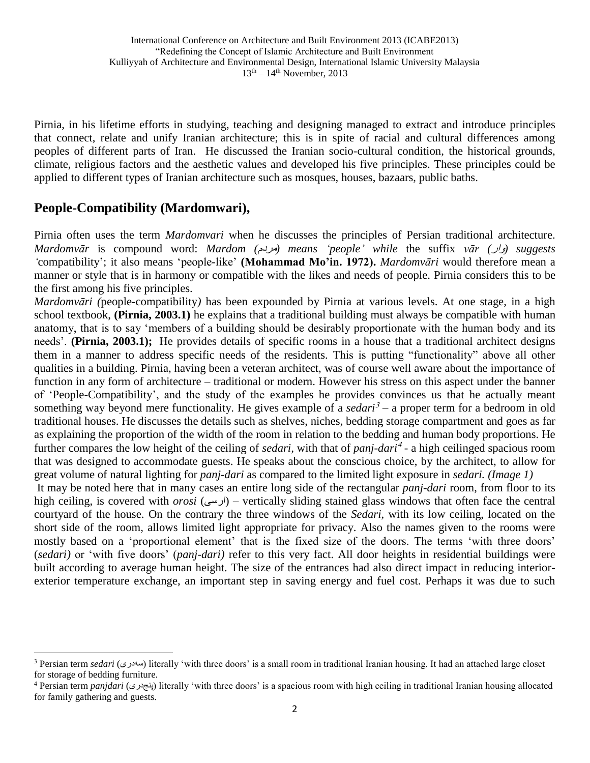Pirnia, in his lifetime efforts in studying, teaching and designing managed to extract and introduce principles that connect, relate and unify Iranian architecture; this is in spite of racial and cultural differences among peoples of different parts of Iran. He discussed the Iranian socio-cultural condition, the historical grounds, climate, religious factors and the aesthetic values and developed his five principles. These principles could be applied to different types of Iranian architecture such as mosques, houses, bazaars, public baths.

## **People-Compatibility (Mardomwari),**

 $\ddot{\phantom{a}}$ 

Pirnia often uses the term *Mardomvari* when he discusses the principles of Persian traditional architecture. *Mardomvār* is compound word: *Mardom (مردم) means 'people' while* the suffix *vār (وار)* suggests *'*compatibility'; it also means 'people-like' **(Mohammad Mo'in. 1972).** *Mardomvāri* would therefore mean a manner or style that is in harmony or compatible with the likes and needs of people. Pirnia considers this to be the first among his five principles.

*Mardomvāri (*people-compatibility*)* has been expounded by Pirnia at various levels. At one stage, in a high school textbook, **(Pirnia, 2003.1)** he explains that a traditional building must always be compatible with human anatomy, that is to say 'members of a building should be desirably proportionate with the human body and its needs'. **(Pirnia, 2003.1);** He provides details of specific rooms in a house that a traditional architect designs them in a manner to address specific needs of the residents. This is putting "functionality" above all other qualities in a building. Pirnia, having been a veteran architect, was of course well aware about the importance of function in any form of architecture – traditional or modern. However his stress on this aspect under the banner of 'People-Compatibility', and the study of the examples he provides convinces us that he actually meant something way beyond mere functionality. He gives example of a *sedari*<sup>3</sup> – a proper term for a bedroom in old traditional houses. He discusses the details such as shelves, niches, bedding storage compartment and goes as far as explaining the proportion of the width of the room in relation to the bedding and human body proportions. He further compares the low height of the ceiling of *sedari*, with that of *panj-dari*<sup>4</sup>- a high ceilinged spacious room that was designed to accommodate guests. He speaks about the conscious choice, by the architect, to allow for great volume of natural lighting for *panj-dari* as compared to the limited light exposure in *sedari. (Image 1)* It may be noted here that in many cases an entire long side of the rectangular *panj-dari* room, from floor to its

high ceiling, is covered with *orosi* (ارسی – (vertically sliding stained glass windows that often face the central courtyard of the house. On the contrary the three windows of the *Sedari,* with its low ceiling, located on the short side of the room, allows limited light appropriate for privacy. Also the names given to the rooms were mostly based on a 'proportional element' that is the fixed size of the doors. The terms 'with three doors' (*sedari)* or 'with five doors' (*panj-dari)* refer to this very fact. All door heights in residential buildings were built according to average human height. The size of the entrances had also direct impact in reducing interiorexterior temperature exchange, an important step in saving energy and fuel cost. Perhaps it was due to such

<sup>&</sup>lt;sup>3</sup> Persian term *sedari* (سهوری) literally 'with three doors' is a small room in traditional Iranian housing. It had an attached large closet for storage of bedding furniture.

<sup>4</sup> Persian term *panjdari* (پنجدری (literally 'with three doors' is a spacious room with high ceiling in traditional Iranian housing allocated for family gathering and guests.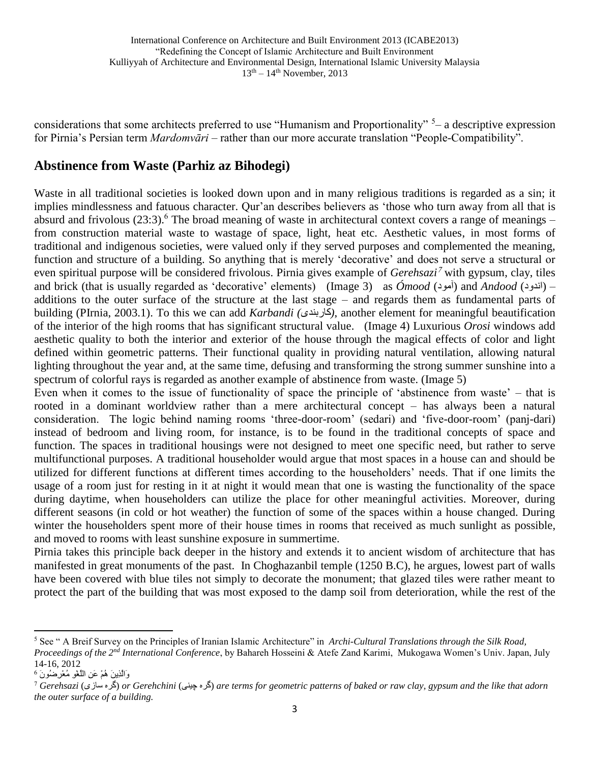considerations that some architects preferred to use "Humanism and Proportionality" <sup>5</sup>- a descriptive expression for Pirnia's Persian term *Mardomvāri –* rather than our more accurate translation "People-Compatibility".

## **Abstinence from Waste (Parhiz az Bihodegi)**

Waste in all traditional societies is looked down upon and in many religious traditions is regarded as a sin; it implies mindlessness and fatuous character. Qur'an describes believers as 'those who turn away from all that is absurd and frivolous (23:3).<sup>6</sup> The broad meaning of waste in architectural context covers a range of meanings – from construction material waste to wastage of space, light, heat etc. Aesthetic values, in most forms of traditional and indigenous societies, were valued only if they served purposes and complemented the meaning, function and structure of a building. So anything that is merely 'decorative' and does not serve a structural or even spiritual purpose will be considered frivolous. Pirnia gives example of *Gerehsazi*<sup>7</sup> with gypsum, clay, tiles and brick (that is usually regarded as 'decorative' elements) (Image 3) as *Ómood* (آمود) and *Andood* (اندود) – additions to the outer surface of the structure at the last stage – and regards them as fundamental parts of building (PIrnia, 2003.1). To this we can add *Karbandi (*کاربندی*(*, another element for meaningful beautification of the interior of the high rooms that has significant structural value. (Image 4) Luxurious *Orosi* windows add aesthetic quality to both the interior and exterior of the house through the magical effects of color and light defined within geometric patterns. Their functional quality in providing natural ventilation, allowing natural lighting throughout the year and, at the same time, defusing and transforming the strong summer sunshine into a spectrum of colorful rays is regarded as another example of abstinence from waste. (Image 5)

Even when it comes to the issue of functionality of space the principle of 'abstinence from waste' – that is rooted in a dominant worldview rather than a mere architectural concept – has always been a natural consideration. The logic behind naming rooms 'three-door-room' (sedari) and 'five-door-room' (panj-dari) instead of bedroom and living room, for instance, is to be found in the traditional concepts of space and function. The spaces in traditional housings were not designed to meet one specific need, but rather to serve multifunctional purposes. A traditional householder would argue that most spaces in a house can and should be utilized for different functions at different times according to the householders' needs. That if one limits the usage of a room just for resting in it at night it would mean that one is wasting the functionality of the space during daytime, when householders can utilize the place for other meaningful activities. Moreover, during different seasons (in cold or hot weather) the function of some of the spaces within a house changed. During winter the householders spent more of their house times in rooms that received as much sunlight as possible, and moved to rooms with least sunshine exposure in summertime.

Pirnia takes this principle back deeper in the history and extends it to ancient wisdom of architecture that has manifested in great monuments of the past. In Choghazanbil temple (1250 B.C), he argues, lowest part of walls have been covered with blue tiles not simply to decorate the monument; that glazed tiles were rather meant to protect the part of the building that was most exposed to the damp soil from deterioration, while the rest of the

 $\overline{a}$ 

<sup>5</sup> See " A Breif Survey on the Principles of Iranian Islamic Architecture" in *Archi-Cultural Translations through the Silk Road, Proceedings of the 2nd International Conference*, by Bahareh Hosseini & Atefe Zand Karimi, Mukogawa Women's Univ. Japan, July 14-16, 2012

<sup>6</sup> وَالَّذِينَ هُمْ عَنِ اللَّغْوِ مُعْرِضُونَ

<sup>7</sup> *Gerehsazi* (سازی گره (*or Gerehchini* (چینی گره (*are terms for geometric patterns of baked or raw clay, gypsum and the like that adorn the outer surface of a building.*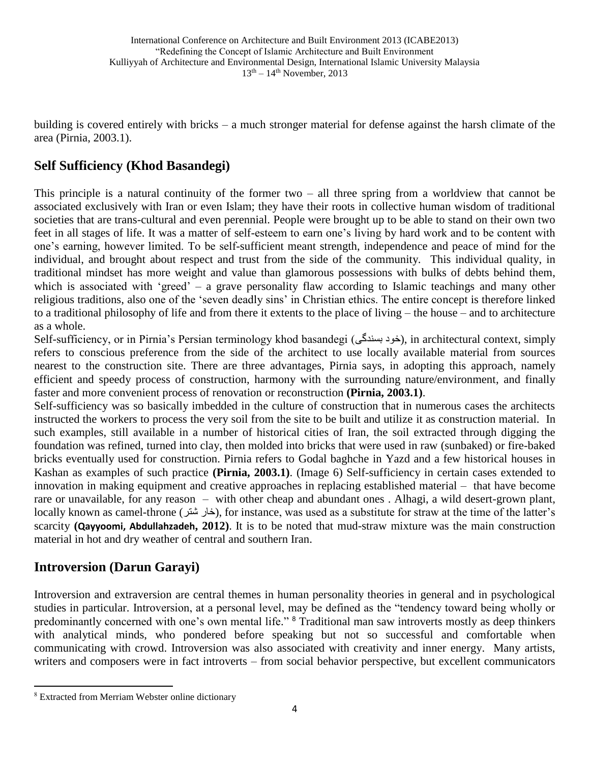building is covered entirely with bricks – a much stronger material for defense against the harsh climate of the area (Pirnia, 2003.1).

## **Self Sufficiency (Khod Basandegi)**

This principle is a natural continuity of the former two – all three spring from a worldview that cannot be associated exclusively with Iran or even Islam; they have their roots in collective human wisdom of traditional societies that are trans-cultural and even perennial. People were brought up to be able to stand on their own two feet in all stages of life. It was a matter of self-esteem to earn one's living by hard work and to be content with one's earning, however limited. To be self-sufficient meant strength, independence and peace of mind for the individual, and brought about respect and trust from the side of the community. This individual quality, in traditional mindset has more weight and value than glamorous possessions with bulks of debts behind them, which is associated with 'greed' – a grave personality flaw according to Islamic teachings and many other religious traditions, also one of the 'seven deadly sins' in Christian ethics. The entire concept is therefore linked to a traditional philosophy of life and from there it extents to the place of living – the house – and to architecture as a whole.

Self-sufficiency, or in Pirnia's Persian terminology khod basandegi (خود بسندگی), in architectural context, simply refers to conscious preference from the side of the architect to use locally available material from sources nearest to the construction site. There are three advantages, Pirnia says, in adopting this approach, namely efficient and speedy process of construction, harmony with the surrounding nature/environment, and finally faster and more convenient process of renovation or reconstruction **(Pirnia, 2003.1)**.

Self-sufficiency was so basically imbedded in the culture of construction that in numerous cases the architects instructed the workers to process the very soil from the site to be built and utilize it as construction material. In such examples, still available in a number of historical cities of Iran, the soil extracted through digging the foundation was refined, turned into clay, then molded into bricks that were used in raw (sunbaked) or fire-baked bricks eventually used for construction. Pirnia refers to Godal baghche in Yazd and a few historical houses in Kashan as examples of such practice **(Pirnia, 2003.1)**. (Image 6) Self-sufficiency in certain cases extended to innovation in making equipment and creative approaches in replacing established material – that have become rare or unavailable, for any reason – with other cheap and abundant ones . Alhagi, a wild desert-grown plant, locally known as camel-throne (شتر خار(, for instance, was used as a substitute for straw at the time of the latter's scarcity **(Qayyoomi, Abdullahzadeh, 2012)**. It is to be noted that mud-straw mixture was the main construction material in hot and dry weather of central and southern Iran.

## **Introversion (Darun Garayi)**

Introversion and extraversion are central themes in human personality theories in general and in psychological studies in particular. Introversion, at a personal level, may be defined as the "tendency toward being wholly or predominantly concerned with one's own mental life." <sup>8</sup> Traditional man saw introverts mostly as deep thinkers with analytical minds, who pondered before speaking but not so successful and comfortable when communicating with crowd. Introversion was also associated with creativity and inner energy. Many artists, writers and composers were in fact introverts – from social behavior perspective, but excellent communicators

 $\overline{a}$ 

<sup>8</sup> Extracted from Merriam Webster online dictionary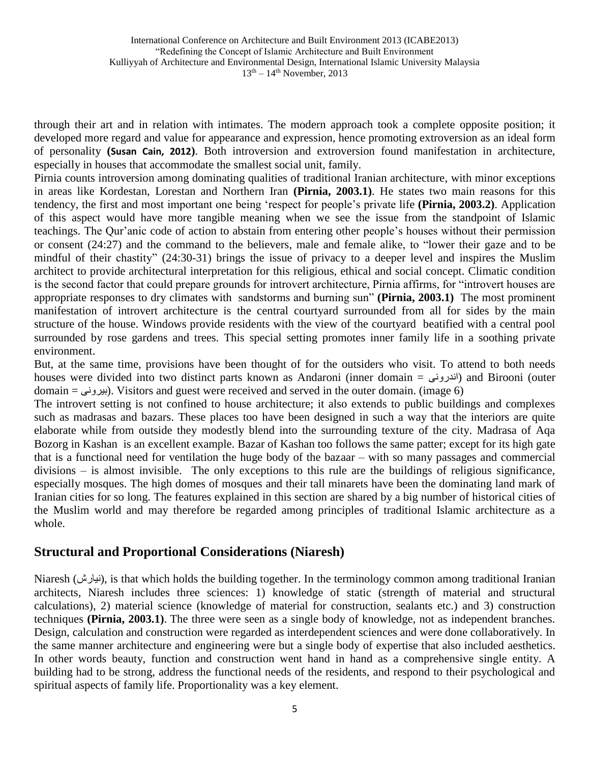through their art and in relation with intimates. The modern approach took a complete opposite position; it developed more regard and value for appearance and expression, hence promoting extroversion as an ideal form of personality **(Susan Cain, 2012)**. Both introversion and extroversion found manifestation in architecture, especially in houses that accommodate the smallest social unit, family.

Pirnia counts introversion among dominating qualities of traditional Iranian architecture, with minor exceptions in areas like Kordestan, Lorestan and Northern Iran **(Pirnia, 2003.1)**. He states two main reasons for this tendency, the first and most important one being 'respect for people's private life **(Pirnia, 2003.2)**. Application of this aspect would have more tangible meaning when we see the issue from the standpoint of Islamic teachings. The Qur'anic code of action to abstain from entering other people's houses without their permission or consent (24:27) and the command to the believers, male and female alike, to "lower their gaze and to be mindful of their chastity" (24:30-31) brings the issue of privacy to a deeper level and inspires the Muslim architect to provide architectural interpretation for this religious, ethical and social concept. Climatic condition is the second factor that could prepare grounds for introvert architecture, Pirnia affirms, for "introvert houses are appropriate responses to dry climates with sandstorms and burning sun" **(Pirnia, 2003.1)** The most prominent manifestation of introvert architecture is the central courtyard surrounded from all for sides by the main structure of the house. Windows provide residents with the view of the courtyard beatified with a central pool surrounded by rose gardens and trees. This special setting promotes inner family life in a soothing private environment.

But, at the same time, provisions have been thought of for the outsiders who visit. To attend to both needs houses were divided into two distinct parts known as Andaroni (inner domain = اندرونی) and Birooni (outer  $domain =$ بیرونی(. Visitors and guest were received and served in the outer domain. (image 6)

The introvert setting is not confined to house architecture; it also extends to public buildings and complexes such as madrasas and bazars. These places too have been designed in such a way that the interiors are quite elaborate while from outside they modestly blend into the surrounding texture of the city. Madrasa of Aqa Bozorg in Kashan is an excellent example. Bazar of Kashan too follows the same patter; except for its high gate that is a functional need for ventilation the huge body of the bazaar – with so many passages and commercial divisions – is almost invisible. The only exceptions to this rule are the buildings of religious significance, especially mosques. The high domes of mosques and their tall minarets have been the dominating land mark of Iranian cities for so long. The features explained in this section are shared by a big number of historical cities of the Muslim world and may therefore be regarded among principles of traditional Islamic architecture as a whole.

#### **Structural and Proportional Considerations (Niaresh)**

Niaresh (نیارش), is that which holds the building together. In the terminology common among traditional Iranian architects, Niaresh includes three sciences: 1) knowledge of static (strength of material and structural calculations), 2) material science (knowledge of material for construction, sealants etc.) and 3) construction techniques **(Pirnia, 2003.1)**. The three were seen as a single body of knowledge, not as independent branches. Design, calculation and construction were regarded as interdependent sciences and were done collaboratively. In the same manner architecture and engineering were but a single body of expertise that also included aesthetics. In other words beauty, function and construction went hand in hand as a comprehensive single entity. A building had to be strong, address the functional needs of the residents, and respond to their psychological and spiritual aspects of family life. Proportionality was a key element.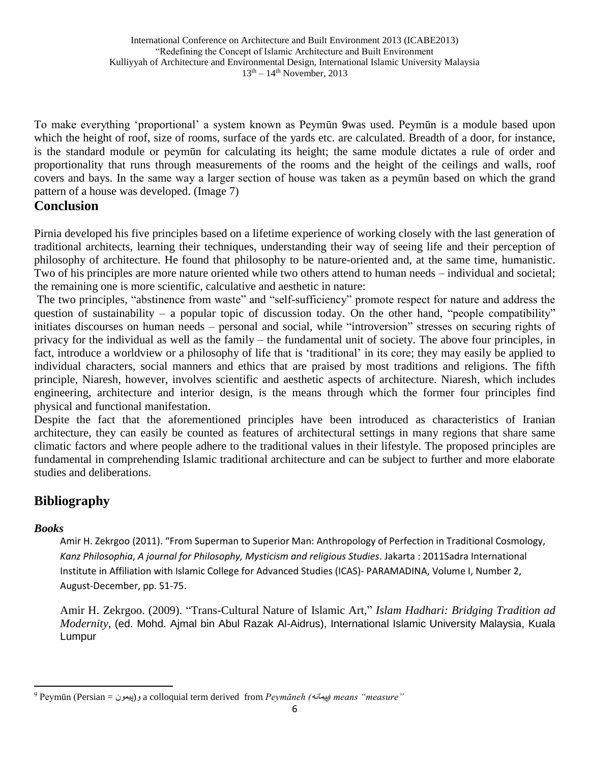To make everything 'proportional' a system known as Peymūn 9was used. Peymūn is a module based upon which the height of roof, size of rooms, surface of the yards etc. are calculated. Breadth of a door, for instance, is the standard module or peymūn for calculating its height; the same module dictates a rule of order and proportionality that runs through measurements of the rooms and the height of the ceilings and walls, roof covers and bays. In the same way a larger section of house was taken as a peymūn based on which the grand pattern of a house was developed. (Image 7)

### **Conclusion**

Pirnia developed his five principles based on a lifetime experience of working closely with the last generation of traditional architects, learning their techniques, understanding their way of seeing life and their perception of philosophy of architecture. He found that philosophy to be nature-oriented and, at the same time, humanistic. Two of his principles are more nature oriented while two others attend to human needs – individual and societal; the remaining one is more scientific, calculative and aesthetic in nature:

The two principles, "abstinence from waste" and "self-sufficiency" promote respect for nature and address the question of sustainability – a popular topic of discussion today. On the other hand, "people compatibility" initiates discourses on human needs – personal and social, while "introversion" stresses on securing rights of privacy for the individual as well as the family – the fundamental unit of society. The above four principles, in fact, introduce a worldview or a philosophy of life that is 'traditional' in its core; they may easily be applied to individual characters, social manners and ethics that are praised by most traditions and religions. The fifth principle, Niaresh, however, involves scientific and aesthetic aspects of architecture. Niaresh, which includes engineering, architecture and interior design, is the means through which the former four principles find physical and functional manifestation.

Despite the fact that the aforementioned principles have been introduced as characteristics of Iranian architecture, they can easily be counted as features of architectural settings in many regions that share same climatic factors and where people adhere to the traditional values in their lifestyle. The proposed principles are fundamental in comprehending Islamic traditional architecture and can be subject to further and more elaborate studies and deliberations.

## **Bibliography**

#### *Books*

 $\overline{a}$ 

Amir H. Zekrgoo (2011). "From Superman to Superior Man: Anthropology of Perfection in Traditional Cosmology, *Kanz Philosophia*, *A journal for Philosophy, Mysticism and religious Studies*. Jakarta : 2011Sadra International Institute in Affiliation with Islamic College for Advanced Studies (ICAS)- PARAMADINA, Volume I, Number 2, August-December, pp. 51-75.

Amir H. Zekrgoo. (2009). "Trans-Cultural Nature of Islamic Art," *Islam Hadhari: Bridging Tradition ad Modernity*, (ed. Mohd. Ajmal bin Abul Razak Al-Aidrus), International Islamic University Malaysia, Kuala Lumpur

<sup>9</sup> Peymūn (Persian = پیمون(و a colloquial term derived from *Peymāneh (*پیمانه *(means "measure"*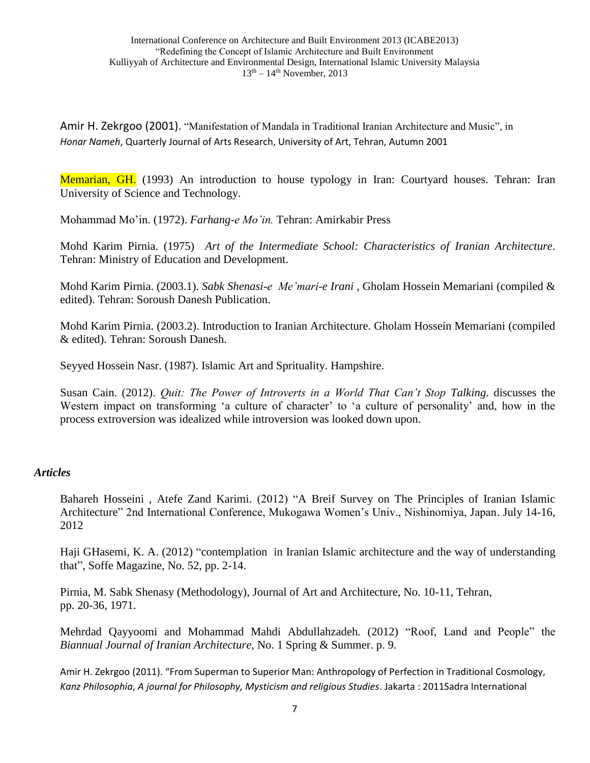Amir H. Zekrgoo (2001). "Manifestation of Mandala in Traditional Iranian Architecture and Music", in *Honar Nameh*, Quarterly Journal of Arts Research, University of Art, Tehran, Autumn 2001

Memarian, GH. (1993) An introduction to house typology in Iran: Courtyard houses. Tehran: Iran University of Science and Technology.

Mohammad Mo'in. (1972). *Farhang-e Mo'in.* Tehran: Amirkabir Press

Mohd Karim Pirnia. (1975) *Art of the Intermediate School: Characteristics of Iranian Architecture*. Tehran: Ministry of Education and Development.

Mohd Karim Pirnia. (2003.1). *Sabk Shenasi-e Me'mari-e Irani* , Gholam Hossein Memariani (compiled & edited). Tehran: Soroush Danesh Publication.

Mohd Karim Pirnia. (2003.2). Introduction to Iranian Architecture. Gholam Hossein Memariani (compiled & edited). Tehran: Soroush Danesh.

Seyyed Hossein Nasr. (1987). Islamic Art and Sprituality. Hampshire.

Susan Cain. (2012). *Quit: The Power of Introverts in a World That Can't Stop Talking*. discusses the Western impact on transforming 'a culture of character' to 'a culture of personality' and, how in the process extroversion was idealized while introversion was looked down upon.

#### *Articles*

Bahareh Hosseini , Atefe Zand Karimi. (2012) "A Breif Survey on The Principles of Iranian Islamic Architecture" 2nd International Conference, Mukogawa Women's Univ., Nishinomiya, Japan. July 14-16, 2012

Haji GHasemi, K. A. (2012) "contemplation in Iranian Islamic architecture and the way of understanding that", Soffe Magazine, No. 52, pp. 2-14.

Pirnia, M. Sabk Shenasy (Methodology), Journal of Art and Architecture, No. 10-11, Tehran, pp. 20-36, 1971.

Mehrdad Qayyoomi and Mohammad Mahdi Abdullahzadeh. (2012) "Roof, Land and People" the *Biannual Journal of Iranian Architecture*, No. 1 Spring & Summer. p. 9.

Amir H. Zekrgoo (2011). "From Superman to Superior Man: Anthropology of Perfection in Traditional Cosmology, *Kanz Philosophia*, *A journal for Philosophy, Mysticism and religious Studies*. Jakarta : 2011Sadra International